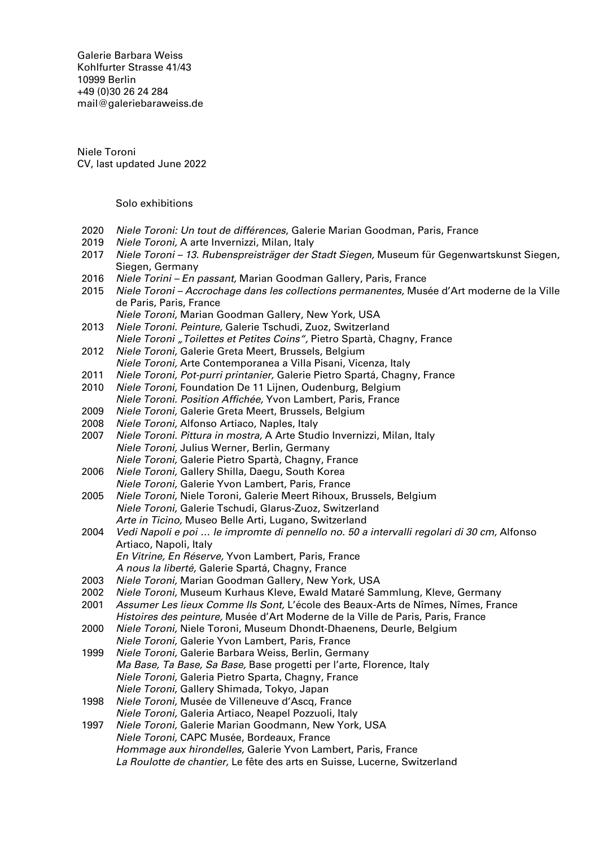Galerie Barbara Weiss [Kohlfurter Strasse 41/43](https://goo.gl/maps/ZQcePopa6uu3a3k19) [10999 Berlin](https://goo.gl/maps/ZQcePopa6uu3a3k19) +49 (0)30 26 24 284 [mail@galeriebaraweiss.de](mailto:mail@galeriebarbaraweiss.de)

Niele Toroni CV, last updated June 2022

## Solo exhibitions

- 2020 Niele Toroni: Un tout de différences, Galerie Marian Goodman, Paris, France
- 2019 Niele Toroni, A arte Invernizzi, Milan, Italy
- 2017 Niele Toroni 13. Rubenspreisträger der Stadt Siegen, Museum für Gegenwartskunst Siegen, Siegen, Germany
- 2016 Niele Torini En passant, Marian Goodman Gallery, Paris, France
- 2015 Niele Toroni Accrochage dans les collections permanentes, Musée d'Art moderne de la Ville de Paris, Paris, France
- Niele Toroni, Marian Goodman Gallery, New York, USA 2013 Niele Toroni. Peinture, Galerie Tschudi, Zuoz, Switzerland
- Niele Toroni "Toilettes et Petites Coins", Pietro Spartà, Chagny, France
- 2012 Niele Toroni, Galerie Greta Meert, Brussels, Belgium
- Niele Toroni, Arte Contemporanea a Villa Pisani, Vicenza, Italy
- 2011 Niele Toroni, Pot-purri printanier, Galerie Pietro Spartá, Chagny, France
- 2010 Niele Toroni, Foundation De 11 Lijnen, Oudenburg, Belgium Niele Toroni. Position Affichée, Yvon Lambert, Paris, France
- 2009 Niele Toroni, Galerie Greta Meert, Brussels, Belgium<br>2008 Niele Toroni, Alfonso Artiaco, Naples, Italy
- 2008 Niele Toroni, Alfonso Artiaco, Naples, Italy<br>2007 Niele Toroni, Pittura in mostra, A Arte Stud
- Niele Toroni. Pittura in mostra, A Arte Studio Invernizzi, Milan, Italy Niele Toroni, Julius Werner, Berlin, Germany Niele Toroni, Galerie Pietro Spartà, Chagny, France
- 2006 Niele Toroni, Gallery Shilla, Daegu, South Korea Niele Toroni, Galerie Yvon Lambert, Paris, France
- 2005 Niele Toroni, Niele Toroni, Galerie Meert Rihoux, Brussels, Belgium Niele Toroni, Galerie Tschudi, Glarus-Zuoz, Switzerland Arte in Ticino, Museo Belle Arti, Lugano, Switzerland
- 2004 Vedi Napoli e poi … le impromte di pennello no. 50 a intervalli regolari di 30 cm, Alfonso Artiaco, Napoli, Italy En Vitrine, En Réserve, Yvon Lambert, Paris, France
	- A nous la liberté, Galerie Spartá, Chagny, France
- 2003 Niele Toroni, Marian Goodman Gallery, New York, USA
- 2002 Niele Toroni, Museum Kurhaus Kleve, Ewald Mataré Sammlung, Kleve, Germany
- 2001 Assumer Les lieux Comme Ils Sont, L'école des Beaux-Arts de Nîmes, Nîmes, France Histoires des peinture, Musée d'Art Moderne de la Ville de Paris, Paris, France
- 2000 Niele Toroni, Niele Toroni, Museum Dhondt-Dhaenens, Deurle, Belgium
- Niele Toroni, Galerie Yvon Lambert, Paris, France 1999 Niele Toroni, Galerie Barbara Weiss, Berlin, Germany Ma Base, Ta Base, Sa Base, Base progetti per l'arte, Florence, Italy Niele Toroni, Galeria Pietro Sparta, Chagny, France
- Niele Toroni, Gallery Shimada, Tokyo, Japan
- 1998 Niele Toroni, Musée de Villeneuve d'Ascq, France Niele Toroni, Galeria Artiaco, Neapel Pozzuoli, Italy
- 1997 Niele Toroni, Galerie Marian Goodmann, New York, USA Niele Toroni, CAPC Musée, Bordeaux, France Hommage aux hirondelles, Galerie Yvon Lambert, Paris, France La Roulotte de chantier, Le fête des arts en Suisse, Lucerne, Switzerland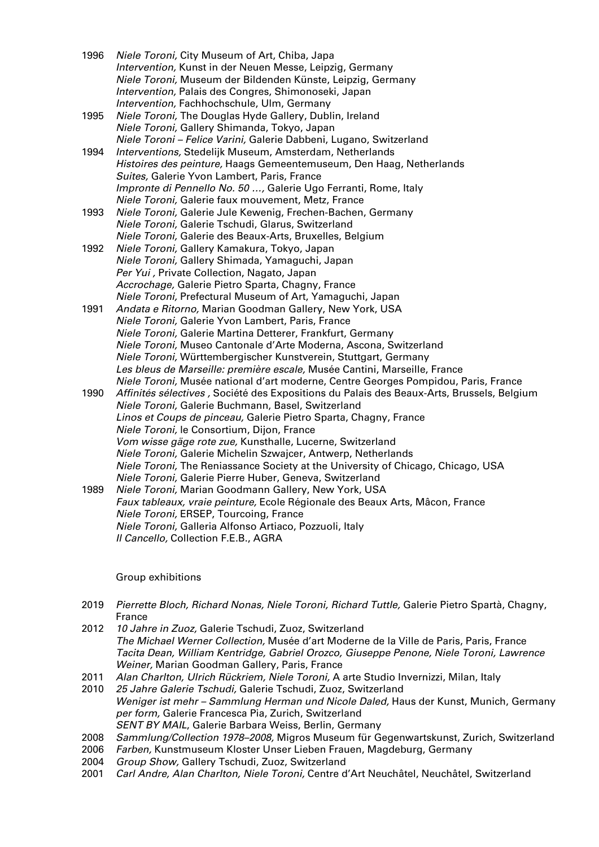- 1996 Niele Toroni, City Museum of Art, Chiba, Japa Intervention, Kunst in der Neuen Messe, Leipzig, Germany Niele Toroni, Museum der Bildenden Künste, Leipzig, Germany Intervention, Palais des Congres, Shimonoseki, Japan Intervention, Fachhochschule, Ulm, Germany
- 1995 Niele Toroni, The Douglas Hyde Gallery, Dublin, Ireland Niele Toroni, Gallery Shimanda, Tokyo, Japan Niele Toroni – Felice Varini, Galerie Dabbeni, Lugano, Switzerland
- 1994 Interventions, Stedelijk Museum, Amsterdam, Netherlands Histoires des peinture, Haags Gemeentemuseum, Den Haag, Netherlands Suites, Galerie Yvon Lambert, Paris, France Impronte di Pennello No. 50 …, Galerie Ugo Ferranti, Rome, Italy Niele Toroni, Galerie faux mouvement, Metz, France
- 1993 Niele Toroni, Galerie Jule Kewenig, Frechen-Bachen, Germany Niele Toroni, Galerie Tschudi, Glarus, Switzerland Niele Toroni, Galerie des Beaux-Arts, Bruxelles, Belgium
- 1992 Niele Toroni, Gallery Kamakura, Tokyo, Japan Niele Toroni, Gallery Shimada, Yamaguchi, Japan Per Yui , Private Collection, Nagato, Japan Accrochage, Galerie Pietro Sparta, Chagny, France Niele Toroni, Prefectural Museum of Art, Yamaguchi, Japan
- 1991 Andata e Ritorno, Marian Goodman Gallery, New York, USA Niele Toroni, Galerie Yvon Lambert, Paris, France Niele Toroni, Galerie Martina Detterer, Frankfurt, Germany Niele Toroni, Museo Cantonale d'Arte Moderna, Ascona, Switzerland Niele Toroni, Württembergischer Kunstverein, Stuttgart, Germany Les bleus de Marseille: première escale, Musée Cantini, Marseille, France Niele Toroni, Musée national d'art moderne, Centre Georges Pompidou, Paris, France
- 1990 Affinités sélectives, Société des Expositions du Palais des Beaux-Arts, Brussels, Belgium Niele Toroni, Galerie Buchmann, Basel, Switzerland Linos et Coups de pinceau, Galerie Pietro Sparta, Chagny, France Niele Toroni, le Consortium, Dijon, France Vom wisse gäge rote zue, Kunsthalle, Lucerne, Switzerland Niele Toroni, Galerie Michelin Szwajcer, Antwerp, Netherlands Niele Toroni, The Reniassance Society at the University of Chicago, Chicago, USA Niele Toroni, Galerie Pierre Huber, Geneva, Switzerland
- 1989 Niele Toroni, Marian Goodmann Gallery, New York, USA Faux tableaux, vraie peinture, Ecole Régionale des Beaux Arts, Mâcon, France Niele Toroni, ERSEP, Tourcoing, France Niele Toroni, Galleria Alfonso Artiaco, Pozzuoli, Italy Il Cancello, Collection F.E.B., AGRA

## Group exhibitions

- 2019 Pierrette Bloch, Richard Nonas, Niele Toroni, Richard Tuttle, Galerie Pietro Spartà, Chagny, France
- 2012 10 Jahre in Zuoz, Galerie Tschudi, Zuoz, Switzerland The Michael Werner Collection, Musée d'art Moderne de la Ville de Paris, Paris, France Tacita Dean, William Kentridge, Gabriel Orozco, Giuseppe Penone, Niele Toroni, Lawrence Weiner, Marian Goodman Gallery, Paris, France
- 2011 Alan Charlton, Ulrich Rückriem, Niele Toroni, A arte Studio Invernizzi, Milan, Italy<br>2010 25 Jahre Galerie Tschudi, Galerie Tschudi, Zuoz, Switzerland
- 25 Jahre Galerie Tschudi, Galerie Tschudi, Zuoz, Switzerland Weniger ist mehr – Sammlung Herman und Nicole Daled, Haus der Kunst, Munich, Germany per form, Galerie Francesca Pia, Zurich, Switzerland SENT BY MAIL, Galerie Barbara Weiss, Berlin, Germany
- 2008 Sammlung/Collection 1978–2008, Migros Museum für Gegenwartskunst, Zurich, Switzerland
- 2006 Farben, Kunstmuseum Kloster Unser Lieben Frauen, Magdeburg, Germany
- 2004 Group Show, Gallery Tschudi, Zuoz, Switzerland
- 2001 Carl Andre, Alan Charlton, Niele Toroni, Centre d'Art Neuchâtel, Neuchâtel, Switzerland